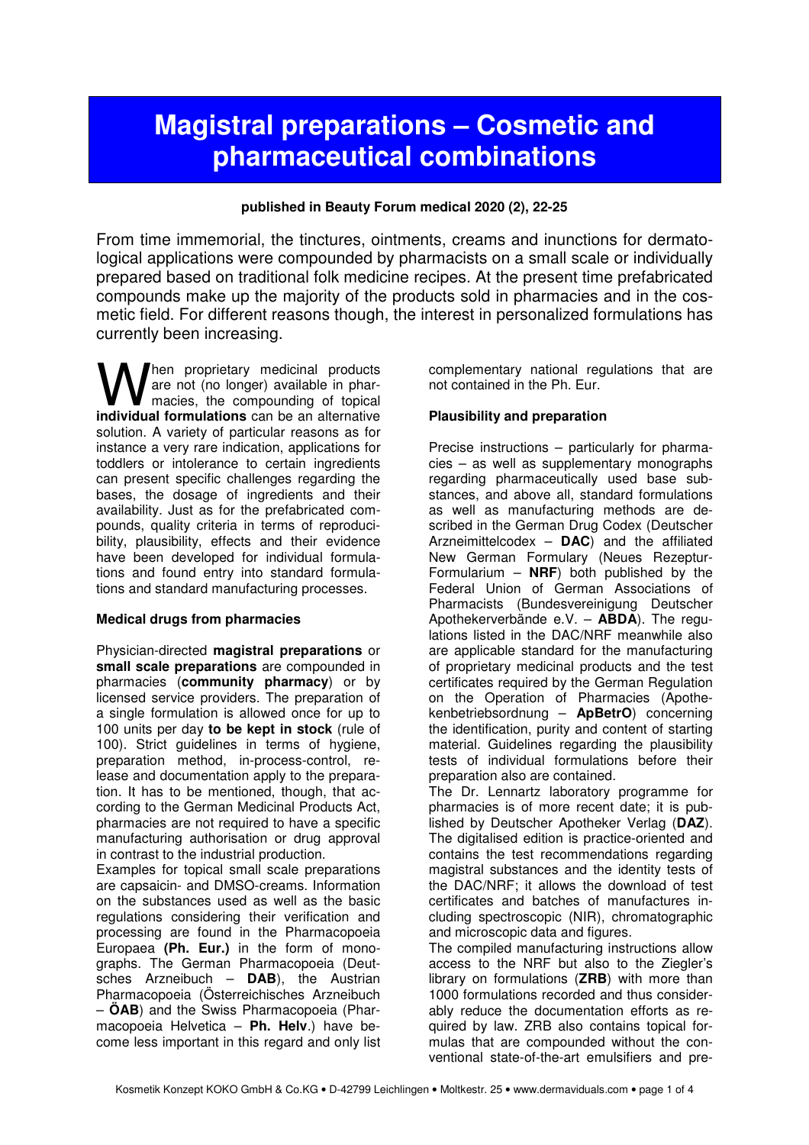# **Magistral preparations – Cosmetic and pharmaceutical combinations**

## **published in Beauty Forum medical 2020 (2), 22-25**

From time immemorial, the tinctures, ointments, creams and inunctions for dermatological applications were compounded by pharmacists on a small scale or individually prepared based on traditional folk medicine recipes. At the present time prefabricated compounds make up the majority of the products sold in pharmacies and in the cosmetic field. For different reasons though, the interest in personalized formulations has currently been increasing.

hen proprietary medicinal products are not (no longer) available in pharmacies, the compounding of topical **individual formulations** can be an alternative in phar-<br> **individual formulations** can be an alternative solution. A variety of particular reasons as for instance a very rare indication, applications for toddlers or intolerance to certain ingredients can present specific challenges regarding the bases, the dosage of ingredients and their availability. Just as for the prefabricated compounds, quality criteria in terms of reproducibility, plausibility, effects and their evidence have been developed for individual formulations and found entry into standard formulations and standard manufacturing processes.

## **Medical drugs from pharmacies**

Physician-directed **magistral preparations** or **small scale preparations** are compounded in pharmacies (**community pharmacy**) or by licensed service providers. The preparation of a single formulation is allowed once for up to 100 units per day **to be kept in stock** (rule of 100). Strict guidelines in terms of hygiene, preparation method, in-process-control, release and documentation apply to the preparation. It has to be mentioned, though, that according to the German Medicinal Products Act, pharmacies are not required to have a specific manufacturing authorisation or drug approval in contrast to the industrial production.

Examples for topical small scale preparations are capsaicin- and DMSO-creams. Information on the substances used as well as the basic regulations considering their verification and processing are found in the Pharmacopoeia Europaea **(Ph. Eur.)** in the form of monographs. The German Pharmacopoeia (Deutsches Arzneibuch – **DAB**), the Austrian Pharmacopoeia (Österreichisches Arzneibuch – **ÖAB**) and the Swiss Pharmacopoeia (Pharmacopoeia Helvetica – **Ph. Helv**.) have become less important in this regard and only list

complementary national regulations that are not contained in the Ph. Eur.

# **Plausibility and preparation**

Precise instructions – particularly for pharmacies – as well as supplementary monographs regarding pharmaceutically used base substances, and above all, standard formulations as well as manufacturing methods are described in the German Drug Codex (Deutscher Arzneimittelcodex – **DAC**) and the affiliated New German Formulary (Neues Rezeptur-Formularium – **NRF**) both published by the Federal Union of German Associations of Pharmacists (Bundesvereinigung Deutscher Apothekerverbände e.V. – **ABDA**). The regulations listed in the DAC/NRF meanwhile also are applicable standard for the manufacturing of proprietary medicinal products and the test certificates required by the German Regulation on the Operation of Pharmacies (Apothekenbetriebsordnung – **ApBetrO**) concerning the identification, purity and content of starting material. Guidelines regarding the plausibility tests of individual formulations before their preparation also are contained.

The Dr. Lennartz laboratory programme for pharmacies is of more recent date; it is published by Deutscher Apotheker Verlag (**DAZ**). The digitalised edition is practice-oriented and contains the test recommendations regarding magistral substances and the identity tests of the DAC/NRF; it allows the download of test certificates and batches of manufactures including spectroscopic (NIR), chromatographic and microscopic data and figures.

The compiled manufacturing instructions allow access to the NRF but also to the Ziegler's library on formulations (**ZRB**) with more than 1000 formulations recorded and thus considerably reduce the documentation efforts as required by law. ZRB also contains topical formulas that are compounded without the conventional state-of-the-art emulsifiers and pre-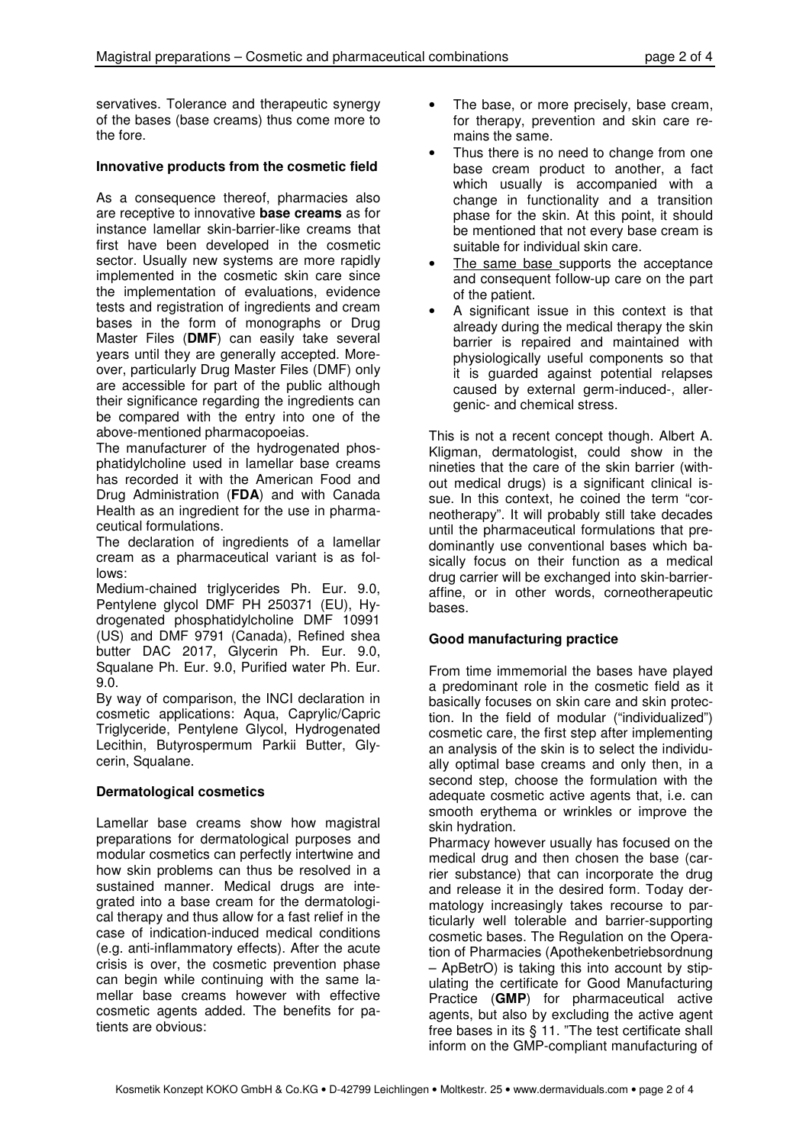servatives. Tolerance and therapeutic synergy of the bases (base creams) thus come more to the fore.

## **Innovative products from the cosmetic field**

As a consequence thereof, pharmacies also are receptive to innovative **base creams** as for instance lamellar skin-barrier-like creams that first have been developed in the cosmetic sector. Usually new systems are more rapidly implemented in the cosmetic skin care since the implementation of evaluations, evidence tests and registration of ingredients and cream bases in the form of monographs or Drug Master Files (**DMF**) can easily take several years until they are generally accepted. Moreover, particularly Drug Master Files (DMF) only are accessible for part of the public although their significance regarding the ingredients can be compared with the entry into one of the above-mentioned pharmacopoeias.

The manufacturer of the hydrogenated phosphatidylcholine used in lamellar base creams has recorded it with the American Food and Drug Administration (**FDA**) and with Canada Health as an ingredient for the use in pharmaceutical formulations.

The declaration of ingredients of a lamellar cream as a pharmaceutical variant is as follows:

Medium-chained triglycerides Ph. Eur. 9.0, Pentylene glycol DMF PH 250371 (EU), Hydrogenated phosphatidylcholine DMF 10991 (US) and DMF 9791 (Canada), Refined shea butter DAC 2017, Glycerin Ph. Eur. 9.0, Squalane Ph. Eur. 9.0, Purified water Ph. Eur. 9.0.

By way of comparison, the INCI declaration in cosmetic applications: Aqua, Caprylic/Capric Triglyceride, Pentylene Glycol, Hydrogenated Lecithin, Butyrospermum Parkii Butter, Glycerin, Squalane.

## **Dermatological cosmetics**

Lamellar base creams show how magistral preparations for dermatological purposes and modular cosmetics can perfectly intertwine and how skin problems can thus be resolved in a sustained manner. Medical drugs are integrated into a base cream for the dermatological therapy and thus allow for a fast relief in the case of indication-induced medical conditions (e.g. anti-inflammatory effects). After the acute crisis is over, the cosmetic prevention phase can begin while continuing with the same lamellar base creams however with effective cosmetic agents added. The benefits for patients are obvious:

- The base, or more precisely, base cream, for therapy, prevention and skin care remains the same.
- Thus there is no need to change from one base cream product to another, a fact which usually is accompanied with a change in functionality and a transition phase for the skin. At this point, it should be mentioned that not every base cream is suitable for individual skin care.
- The same base supports the acceptance and consequent follow-up care on the part of the patient.
- A significant issue in this context is that already during the medical therapy the skin barrier is repaired and maintained with physiologically useful components so that it is guarded against potential relapses caused by external germ-induced-, allergenic- and chemical stress.

This is not a recent concept though. Albert A. Kligman, dermatologist, could show in the nineties that the care of the skin barrier (without medical drugs) is a significant clinical issue. In this context, he coined the term "corneotherapy". It will probably still take decades until the pharmaceutical formulations that predominantly use conventional bases which basically focus on their function as a medical drug carrier will be exchanged into skin-barrieraffine, or in other words, corneotherapeutic bases.

## **Good manufacturing practice**

From time immemorial the bases have played a predominant role in the cosmetic field as it basically focuses on skin care and skin protection. In the field of modular ("individualized") cosmetic care, the first step after implementing an analysis of the skin is to select the individually optimal base creams and only then, in a second step, choose the formulation with the adequate cosmetic active agents that, i.e. can smooth erythema or wrinkles or improve the skin hydration.

Pharmacy however usually has focused on the medical drug and then chosen the base (carrier substance) that can incorporate the drug and release it in the desired form. Today dermatology increasingly takes recourse to particularly well tolerable and barrier-supporting cosmetic bases. The Regulation on the Operation of Pharmacies (Apothekenbetriebsordnung – ApBetrO) is taking this into account by stipulating the certificate for Good Manufacturing Practice (**GMP**) for pharmaceutical active agents, but also by excluding the active agent free bases in its § 11. "The test certificate shall inform on the GMP-compliant manufacturing of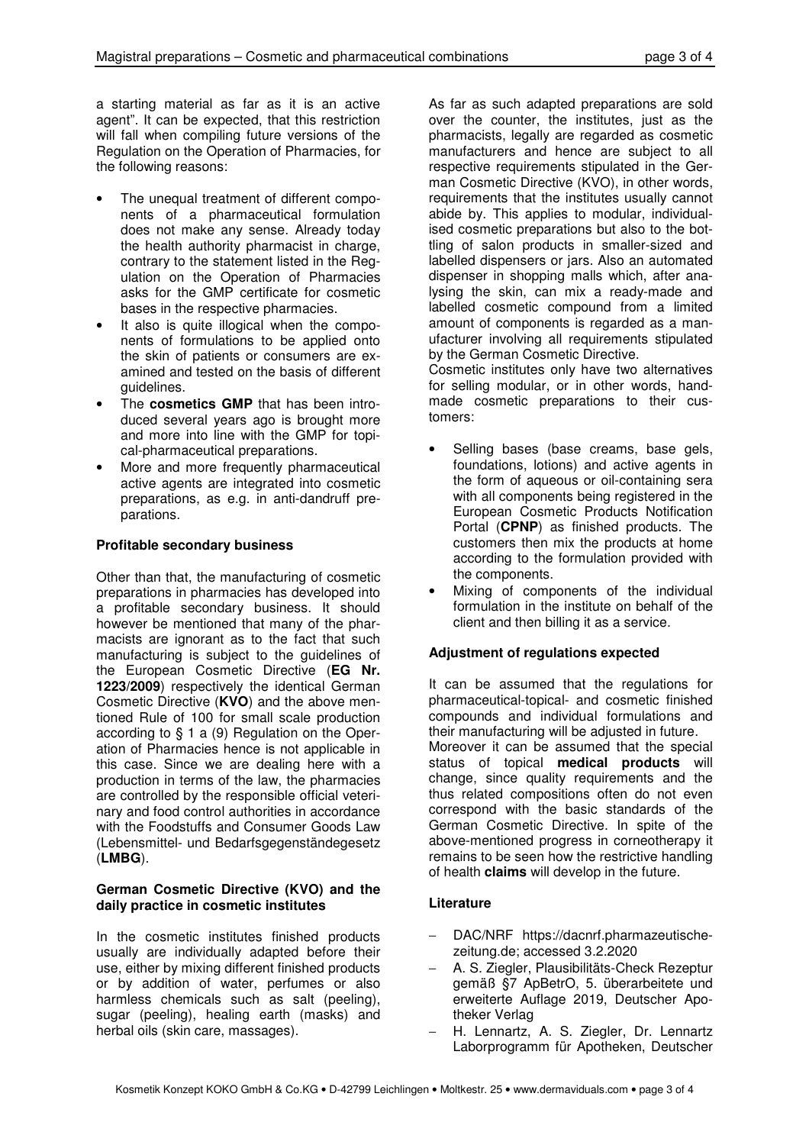a starting material as far as it is an active agent". It can be expected, that this restriction will fall when compiling future versions of the Regulation on the Operation of Pharmacies, for the following reasons:

- The unequal treatment of different components of a pharmaceutical formulation does not make any sense. Already today the health authority pharmacist in charge, contrary to the statement listed in the Regulation on the Operation of Pharmacies asks for the GMP certificate for cosmetic bases in the respective pharmacies.
- It also is quite illogical when the components of formulations to be applied onto the skin of patients or consumers are examined and tested on the basis of different guidelines.
- The **cosmetics GMP** that has been introduced several years ago is brought more and more into line with the GMP for topical-pharmaceutical preparations.
- More and more frequently pharmaceutical active agents are integrated into cosmetic preparations, as e.g. in anti-dandruff preparations.

#### **Profitable secondary business**

Other than that, the manufacturing of cosmetic preparations in pharmacies has developed into a profitable secondary business. It should however be mentioned that many of the pharmacists are ignorant as to the fact that such manufacturing is subject to the guidelines of the European Cosmetic Directive (**EG Nr. 1223/2009**) respectively the identical German Cosmetic Directive (**KVO**) and the above mentioned Rule of 100 for small scale production according to § 1 a (9) Regulation on the Operation of Pharmacies hence is not applicable in this case. Since we are dealing here with a production in terms of the law, the pharmacies are controlled by the responsible official veterinary and food control authorities in accordance with the Foodstuffs and Consumer Goods Law (Lebensmittel- und Bedarfsgegenständegesetz (**LMBG**).

#### **German Cosmetic Directive (KVO) and the daily practice in cosmetic institutes**

In the cosmetic institutes finished products usually are individually adapted before their use, either by mixing different finished products or by addition of water, perfumes or also harmless chemicals such as salt (peeling), sugar (peeling), healing earth (masks) and herbal oils (skin care, massages).

As far as such adapted preparations are sold over the counter, the institutes, just as the pharmacists, legally are regarded as cosmetic manufacturers and hence are subject to all respective requirements stipulated in the German Cosmetic Directive (KVO), in other words, requirements that the institutes usually cannot abide by. This applies to modular, individualised cosmetic preparations but also to the bottling of salon products in smaller-sized and labelled dispensers or jars. Also an automated dispenser in shopping malls which, after analysing the skin, can mix a ready-made and labelled cosmetic compound from a limited amount of components is regarded as a manufacturer involving all requirements stipulated by the German Cosmetic Directive.

Cosmetic institutes only have two alternatives for selling modular, or in other words, handmade cosmetic preparations to their customers:

- Selling bases (base creams, base gels, foundations, lotions) and active agents in the form of aqueous or oil-containing sera with all components being registered in the European Cosmetic Products Notification Portal (**CPNP**) as finished products. The customers then mix the products at home according to the formulation provided with the components.
- Mixing of components of the individual formulation in the institute on behalf of the client and then billing it as a service.

## **Adjustment of regulations expected**

It can be assumed that the regulations for pharmaceutical-topical- and cosmetic finished compounds and individual formulations and their manufacturing will be adjusted in future. Moreover it can be assumed that the special status of topical **medical products** will change, since quality requirements and the thus related compositions often do not even correspond with the basic standards of the German Cosmetic Directive. In spite of the above-mentioned progress in corneotherapy it remains to be seen how the restrictive handling of health **claims** will develop in the future.

## **Literature**

- − DAC/NRF https://dacnrf.pharmazeutischezeitung.de; accessed 3.2.2020
- − A. S. Ziegler, Plausibilitäts-Check Rezeptur gemäß §7 ApBetrO, 5. überarbeitete und erweiterte Auflage 2019, Deutscher Apotheker Verlag
- − H. Lennartz, A. S. Ziegler, Dr. Lennartz Laborprogramm für Apotheken, Deutscher